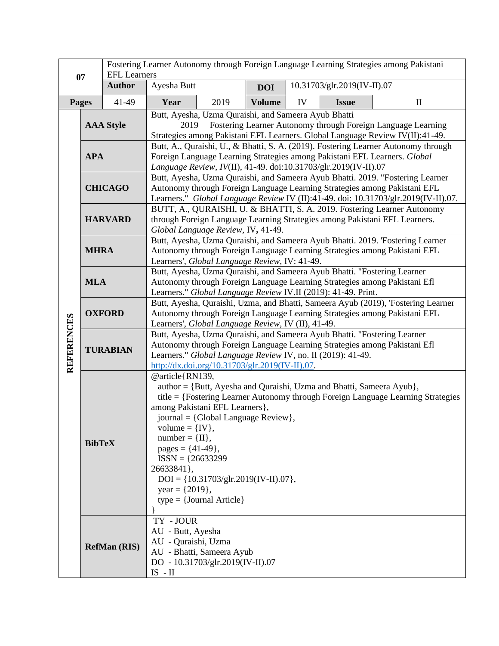| 07                |                     | Fostering Learner Autonomy through Foreign Language Learning Strategies among Pakistani<br><b>EFL Learners</b> |                                                                                                                                                                                                                                                                                                                                |                                                                                                                                                   |               |                             |                                                                      |                                                                                  |  |
|-------------------|---------------------|----------------------------------------------------------------------------------------------------------------|--------------------------------------------------------------------------------------------------------------------------------------------------------------------------------------------------------------------------------------------------------------------------------------------------------------------------------|---------------------------------------------------------------------------------------------------------------------------------------------------|---------------|-----------------------------|----------------------------------------------------------------------|----------------------------------------------------------------------------------|--|
|                   |                     | <b>Author</b>                                                                                                  | Ayesha Butt                                                                                                                                                                                                                                                                                                                    |                                                                                                                                                   | <b>DOI</b>    | 10.31703/glr.2019(IV-II).07 |                                                                      |                                                                                  |  |
|                   | Pages               | 41-49                                                                                                          | Year                                                                                                                                                                                                                                                                                                                           | 2019                                                                                                                                              | <b>Volume</b> | IV                          | <b>Issue</b>                                                         | $\mathbf{I}$                                                                     |  |
|                   | <b>AAA Style</b>    |                                                                                                                | Butt, Ayesha, Uzma Quraishi, and Sameera Ayub Bhatti<br>2019<br>Fostering Learner Autonomy through Foreign Language Learning<br>Strategies among Pakistani EFL Learners. Global Language Review IV(II):41-49.                                                                                                                  |                                                                                                                                                   |               |                             |                                                                      |                                                                                  |  |
| <b>REFERENCES</b> | <b>APA</b>          |                                                                                                                | Butt, A., Quraishi, U., & Bhatti, S. A. (2019). Fostering Learner Autonomy through<br>Foreign Language Learning Strategies among Pakistani EFL Learners. Global<br>Language Review, IV(II), 41-49. doi:10.31703/glr.2019(IV-II).07                                                                                             |                                                                                                                                                   |               |                             |                                                                      |                                                                                  |  |
|                   | <b>CHICAGO</b>      |                                                                                                                | Butt, Ayesha, Uzma Quraishi, and Sameera Ayub Bhatti. 2019. "Fostering Learner<br>Autonomy through Foreign Language Learning Strategies among Pakistani EFL<br>Learners." Global Language Review IV (II):41-49. doi: 10.31703/glr.2019(IV-II).07.                                                                              |                                                                                                                                                   |               |                             |                                                                      |                                                                                  |  |
|                   | <b>HARVARD</b>      |                                                                                                                | BUTT, A., QURAISHI, U. & BHATTI, S. A. 2019. Fostering Learner Autonomy<br>through Foreign Language Learning Strategies among Pakistani EFL Learners.<br>Global Language Review, IV, 41-49.                                                                                                                                    |                                                                                                                                                   |               |                             |                                                                      |                                                                                  |  |
|                   | <b>MHRA</b>         |                                                                                                                | Butt, Ayesha, Uzma Quraishi, and Sameera Ayub Bhatti. 2019. 'Fostering Learner<br>Autonomy through Foreign Language Learning Strategies among Pakistani EFL<br>Learners', Global Language Review, IV: 41-49.                                                                                                                   |                                                                                                                                                   |               |                             |                                                                      |                                                                                  |  |
|                   | <b>MLA</b>          |                                                                                                                | Butt, Ayesha, Uzma Quraishi, and Sameera Ayub Bhatti. "Fostering Learner<br>Autonomy through Foreign Language Learning Strategies among Pakistani Efl<br>Learners." Global Language Review IV.II (2019): 41-49. Print.                                                                                                         |                                                                                                                                                   |               |                             |                                                                      |                                                                                  |  |
|                   | <b>OXFORD</b>       |                                                                                                                | Butt, Ayesha, Quraishi, Uzma, and Bhatti, Sameera Ayub (2019), 'Fostering Learner<br>Autonomy through Foreign Language Learning Strategies among Pakistani EFL<br>Learners', Global Language Review, IV (II), 41-49.                                                                                                           |                                                                                                                                                   |               |                             |                                                                      |                                                                                  |  |
|                   | <b>TURABIAN</b>     |                                                                                                                | Butt, Ayesha, Uzma Quraishi, and Sameera Ayub Bhatti. "Fostering Learner<br>Autonomy through Foreign Language Learning Strategies among Pakistani Efl<br>Learners." Global Language Review IV, no. II (2019): 41-49.<br>$\frac{http://dx.doi.org/10.31703/glr.2019(IV-II).07}{http://dx.doi.org/10.31703/glr.2019(IV-II).07}.$ |                                                                                                                                                   |               |                             |                                                                      |                                                                                  |  |
|                   | <b>BibTeX</b>       |                                                                                                                | @article{RN139,<br>volume = $\{IV\},\$<br>$number = \{II\},\$<br>pages = $\{41-49\}$ ,<br>$ISSN = {26633299}$<br>26633841},<br>$year = \{2019\},$                                                                                                                                                                              | among Pakistani EFL Learners },<br>journal = {Global Language Review},<br>$DOI = \{10.31703/glr.2019(IV-II).07\},\$<br>$type = {Journal Article}$ |               |                             | author = {Butt, Ayesha and Quraishi, Uzma and Bhatti, Sameera Ayub}, | title = {Fostering Learner Autonomy through Foreign Language Learning Strategies |  |
|                   | <b>RefMan (RIS)</b> |                                                                                                                | TY - JOUR<br>AU - Butt, Ayesha<br>AU - Quraishi, Uzma<br>$IS$ - $\rm II$                                                                                                                                                                                                                                                       | AU - Bhatti, Sameera Ayub<br>DO - 10.31703/glr.2019(IV-II).07                                                                                     |               |                             |                                                                      |                                                                                  |  |